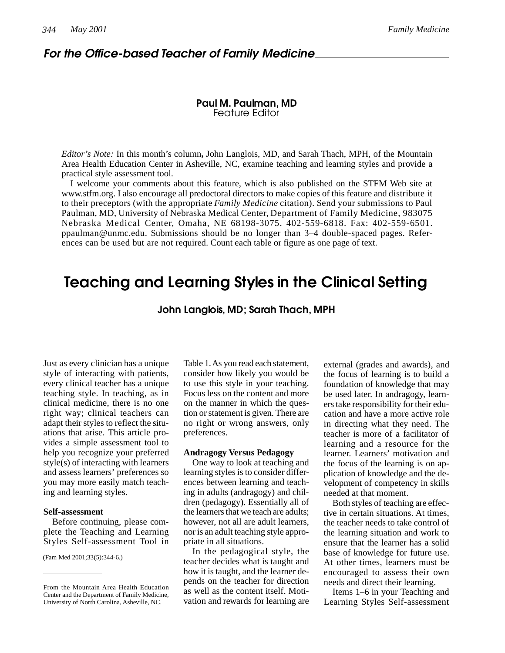# *For the Office-based Teacher of Family Medicine*

## **Paul M. Paulman, MD** Feature Editor

*Editor's Note:* In this month's column**,** John Langlois, MD, and Sarah Thach, MPH, of the Mountain Area Health Education Center in Asheville, NC, examine teaching and learning styles and provide a practical style assessment tool.

I welcome your comments about this feature, which is also published on the STFM Web site at www.stfm.org. I also encourage all predoctoral directors to make copies of this feature and distribute it to their preceptors (with the appropriate *Family Medicine* citation). Send your submissions to Paul Paulman, MD, University of Nebraska Medical Center, Department of Family Medicine, 983075 Nebraska Medical Center, Omaha, NE 68198-3075. 402-559-6818. Fax: 402-559-6501. ppaulman@unmc.edu. Submissions should be no longer than 3–4 double-spaced pages. References can be used but are not required. Count each table or figure as one page of text.

# **Teaching and Learning Styles in the Clinical Setting**

**John Langlois, MD; Sarah Thach, MPH**

Just as every clinician has a unique style of interacting with patients, every clinical teacher has a unique teaching style. In teaching, as in clinical medicine, there is no one right way; clinical teachers can adapt their styles to reflect the situations that arise. This article provides a simple assessment tool to help you recognize your preferred style(s) of interacting with learners and assess learners' preferences so you may more easily match teaching and learning styles.

### **Self-assessment**

Before continuing, please complete the Teaching and Learning Styles Self-assessment Tool in

(Fam Med 2001;33(5):344-6.)

Table 1. As you read each statement, consider how likely you would be to use this style in your teaching. Focus less on the content and more on the manner in which the question or statement is given. There are no right or wrong answers, only preferences.

#### **Andragogy Versus Pedagogy**

One way to look at teaching and learning styles is to consider differences between learning and teaching in adults (andragogy) and children (pedagogy). Essentially all of the learners that we teach are adults; however, not all are adult learners, nor is an adult teaching style appropriate in all situations.

In the pedagogical style, the teacher decides what is taught and how it is taught, and the learner depends on the teacher for direction as well as the content itself. Motivation and rewards for learning are

external (grades and awards), and the focus of learning is to build a foundation of knowledge that may be used later. In andragogy, learners take responsibility for their education and have a more active role in directing what they need. The teacher is more of a facilitator of learning and a resource for the learner. Learners' motivation and the focus of the learning is on application of knowledge and the development of competency in skills needed at that moment.

Both styles of teaching are effective in certain situations. At times, the teacher needs to take control of the learning situation and work to ensure that the learner has a solid base of knowledge for future use. At other times, learners must be encouraged to assess their own needs and direct their learning.

Items 1–6 in your Teaching and Learning Styles Self-assessment

From the Mountain Area Health Education Center and the Department of Family Medicine, University of North Carolina, Asheville, NC.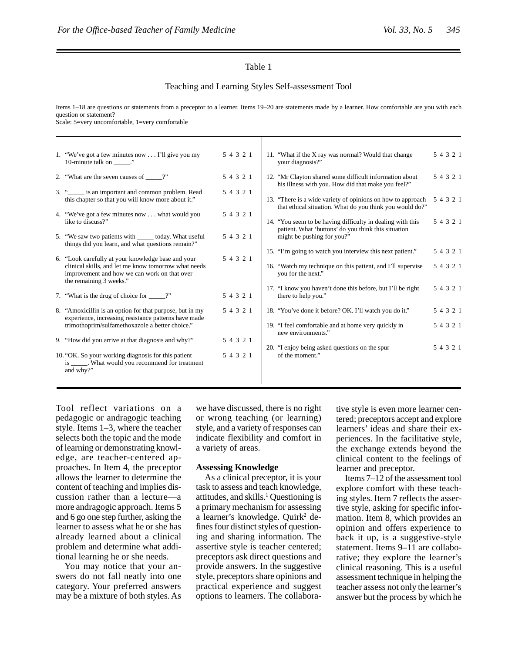#### Table 1

#### Teaching and Learning Styles Self-assessment Tool

Items 1–18 are questions or statements from a preceptor to a learner. Items 19–20 are statements made by a learner. How comfortable are you with each question or statement?

Scale: 5=very uncomfortable, 1=very comfortable

|  | 1. "We've got a few minutes now I'll give you my<br>10-minute talk on _____."                                                   | 5 4 3 2 1 | 11. "What if the X ray was normal? Would that change<br>your diagnosis?"                                                | 5 4 3 2 1 |
|--|---------------------------------------------------------------------------------------------------------------------------------|-----------|-------------------------------------------------------------------------------------------------------------------------|-----------|
|  | 2. "What are the seven causes of ______?"                                                                                       | 5 4 3 2 1 | 12. "Mr Clayton shared some difficult information about<br>his illness with you. How did that make you feel?"           | 5 4 3 2 1 |
|  | 3. " is an important and common problem. Read<br>this chapter so that you will know more about it."                             | 5 4 3 2 1 | 13. "There is a wide variety of opinions on how to approach<br>that ethical situation. What do you think you would do?" | 5 4 3 2 1 |
|  | 4. "We've got a few minutes now what would you<br>like to discuss?"                                                             | 5 4 3 2 1 | 14. "You seem to be having difficulty in dealing with this                                                              | 5 4 3 2 1 |
|  | 5. "We saw two patients with _______ today. What useful<br>things did you learn, and what questions remain?"                    | 5 4 3 2 1 | patient. What 'buttons' do you think this situation<br>might be pushing for you?"                                       |           |
|  | 6. "Look carefully at your knowledge base and your                                                                              | 5 4 3 2 1 | 15. "I'm going to watch you interview this next patient."                                                               | 5 4 3 2 1 |
|  | clinical skills, and let me know tomorrow what needs<br>improvement and how we can work on that over<br>the remaining 3 weeks." |           | 16. "Watch my technique on this patient, and I'll supervise<br>you for the next."                                       | 5 4 3 2 1 |
|  |                                                                                                                                 |           | 17. "I know you haven't done this before, but I'll be right                                                             | 5 4 3 2 1 |
|  | 7. "What is the drug of choice for _____?"                                                                                      | 5 4 3 2 1 | there to help you."                                                                                                     |           |
|  | 8. "Amoxicillin is an option for that purpose, but in my<br>experience, increasing resistance patterns have made                | 5 4 3 2 1 | 18. "You've done it before? OK. I'll watch you do it."                                                                  | 5 4 3 2 1 |
|  | trimothoprim/sulfamethoxazole a better choice."                                                                                 |           | 19. "I feel comfortable and at home very quickly in<br>new environments."                                               | 5 4 3 2 1 |
|  | 9. "How did you arrive at that diagnosis and why?"                                                                              | 5 4 3 2 1 |                                                                                                                         |           |
|  | 10. "OK. So your working diagnosis for this patient<br>is ______. What would you recommend for treatment<br>and why?"           | 5 4 3 2 1 | 20. "I enjoy being asked questions on the spur<br>of the moment."                                                       | 5 4 3 2 1 |
|  |                                                                                                                                 |           |                                                                                                                         |           |

Tool reflect variations on a pedagogic or andragogic teaching style. Items 1–3, where the teacher selects both the topic and the mode of learning or demonstrating knowledge, are teacher-centered approaches. In Item 4, the preceptor allows the learner to determine the content of teaching and implies discussion rather than a lecture—a more andragogic approach. Items 5 and 6 go one step further, asking the learner to assess what he or she has already learned about a clinical problem and determine what additional learning he or she needs.

You may notice that your answers do not fall neatly into one category. Your preferred answers may be a mixture of both styles. As

we have discussed, there is no right or wrong teaching (or learning) style, and a variety of responses can indicate flexibility and comfort in a variety of areas.

#### **Assessing Knowledge**

As a clinical preceptor, it is your task to assess and teach knowledge, attitudes, and skills.<sup>1</sup> Questioning is a primary mechanism for assessing a learner's knowledge. Quirk<sup>2</sup> defines four distinct styles of questioning and sharing information. The assertive style is teacher centered; preceptors ask direct questions and provide answers. In the suggestive style, preceptors share opinions and practical experience and suggest options to learners. The collaborative style is even more learner centered; preceptors accept and explore learners' ideas and share their experiences. In the facilitative style, the exchange extends beyond the clinical content to the feelings of learner and preceptor.

Items 7–12 of the assessment tool explore comfort with these teaching styles. Item 7 reflects the assertive style, asking for specific information. Item 8, which provides an opinion and offers experience to back it up, is a suggestive-style statement. Items 9–11 are collaborative; they explore the learner's clinical reasoning. This is a useful assessment technique in helping the teacher assess not only the learner's answer but the process by which he